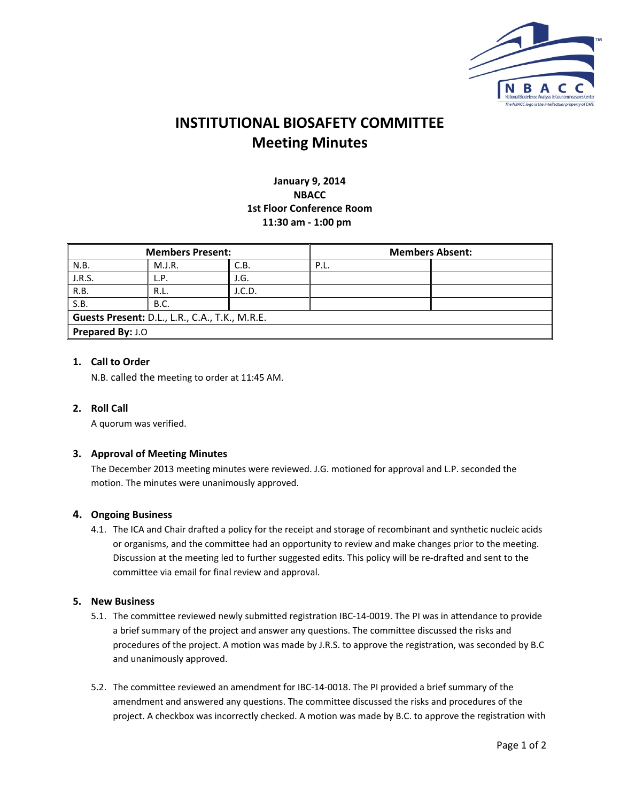

**January 9, 2014 NBACC 1st Floor Conference Room 11:30 am ‐ 1:00 pm**

| <b>Members Present:</b>                        |             | <b>Members Absent:</b> |      |  |
|------------------------------------------------|-------------|------------------------|------|--|
| N.B.                                           | M.J.R.      | C.B.                   | P.L. |  |
| J.R.S.                                         | L.P.        | J.G.                   |      |  |
| R.B.                                           | R.L.        | J.C.D.                 |      |  |
| S.B.                                           | <b>B.C.</b> |                        |      |  |
| Guests Present: D.L., L.R., C.A., T.K., M.R.E. |             |                        |      |  |
| Prepared By: J.O                               |             |                        |      |  |

### **1. Call to Order**

N.B. called the meeting to order at 11:45 AM.

#### **2. Roll Call**

A quorum was verified.

#### **3. Approval of Meeting Minutes**

The December 2013 meeting minutes were reviewed. J.G. motioned for approval and L.P. seconded the motion. The minutes were unanimously approved.

#### **4. Ongoing Business**

4.1. The ICA and Chair drafted a policy for the receipt and storage of recombinant and synthetic nucleic acids or organisms, and the committee had an opportunity to review and make changes prior to the meeting. Discussion at the meeting led to further suggested edits. This policy will be re‐drafted and sent to the committee via email for final review and approval.

#### **5. New Business**

- 5.1. The committee reviewed newly submitted registration IBC‐14‐0019. The PI was in attendance to provide a brief summary of the project and answer any questions. The committee discussed the risks and procedures of the project. A motion was made by J.R.S. to approve the registration, was seconded by B.C and unanimously approved.
- 5.2. The committee reviewed an amendment for IBC‐14‐0018. The PI provided a brief summary of the amendment and answered any questions. The committee discussed the risks and procedures of the project. A checkbox was incorrectly checked. A motion was made by B.C. to approve the registration with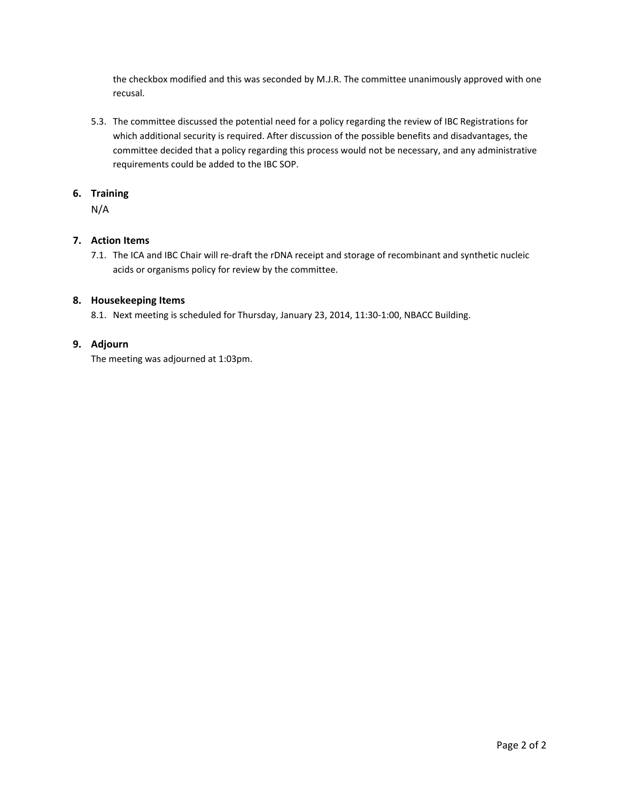the checkbox modified and this was seconded by M.J.R. The committee unanimously approved with one recusal.

5.3. The committee discussed the potential need for a policy regarding the review of IBC Registrations for which additional security is required. After discussion of the possible benefits and disadvantages, the committee decided that a policy regarding this process would not be necessary, and any administrative requirements could be added to the IBC SOP.

#### **6. Training**

N/A

## **7. Action Items**

7.1. The ICA and IBC Chair will re-draft the rDNA receipt and storage of recombinant and synthetic nucleic acids or organisms policy for review by the committee.

### **8. Housekeeping Items**

8.1. Next meeting is scheduled for Thursday, January 23, 2014, 11:30-1:00, NBACC Building.

#### **9. Adjourn**

The meeting was adjourned at 1:03pm.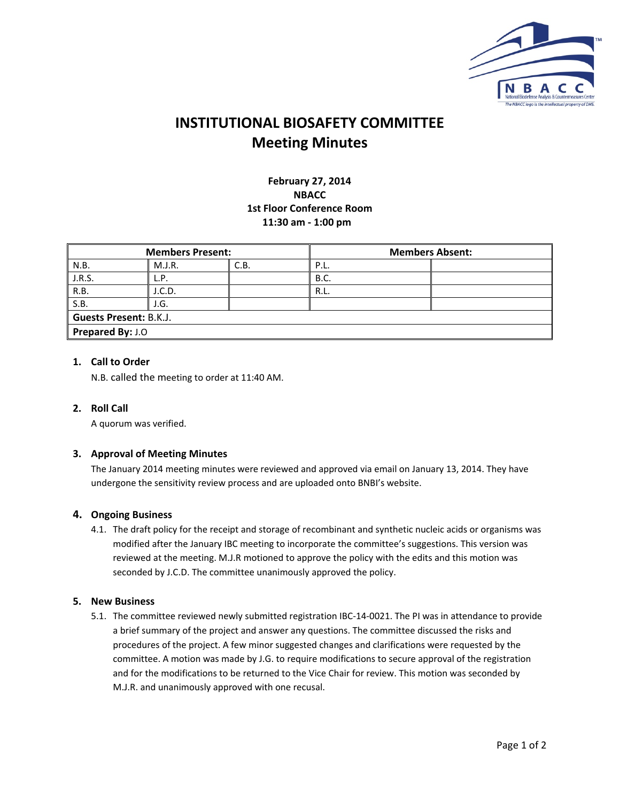

**February 27, 2014 NBACC 1st Floor Conference Room 11:30 am ‐ 1:00 pm**

| <b>Members Present:</b>       |        |      | <b>Members Absent:</b> |  |  |
|-------------------------------|--------|------|------------------------|--|--|
| N.B.                          | M.J.R. | C.B. | P.L.                   |  |  |
| J.R.S.                        | L.P.   |      | <b>B.C.</b>            |  |  |
| R.B.                          | I.C.D. |      | R.L.                   |  |  |
| S.B.                          | J.G.   |      |                        |  |  |
| <b>Guests Present: B.K.J.</b> |        |      |                        |  |  |
| Prepared By: J.O              |        |      |                        |  |  |

#### **1. Call to Order**

N.B. called the meeting to order at 11:40 AM.

#### **2. Roll Call**

A quorum was verified.

#### **3. Approval of Meeting Minutes**

The January 2014 meeting minutes were reviewed and approved via email on January 13, 2014. They have undergone the sensitivity review process and are uploaded onto BNBI's website.

#### **4. Ongoing Business**

4.1. The draft policy for the receipt and storage of recombinant and synthetic nucleic acids or organisms was modified after the January IBC meeting to incorporate the committee's suggestions. This version was reviewed at the meeting. M.J.R motioned to approve the policy with the edits and this motion was seconded by J.C.D. The committee unanimously approved the policy.

#### **5. New Business**

5.1. The committee reviewed newly submitted registration IBC‐14‐0021. The PI was in attendance to provide a brief summary of the project and answer any questions. The committee discussed the risks and procedures of the project. A few minor suggested changes and clarifications were requested by the committee. A motion was made by J.G. to require modifications to secure approval of the registration and for the modifications to be returned to the Vice Chair for review. This motion was seconded by M.J.R. and unanimously approved with one recusal.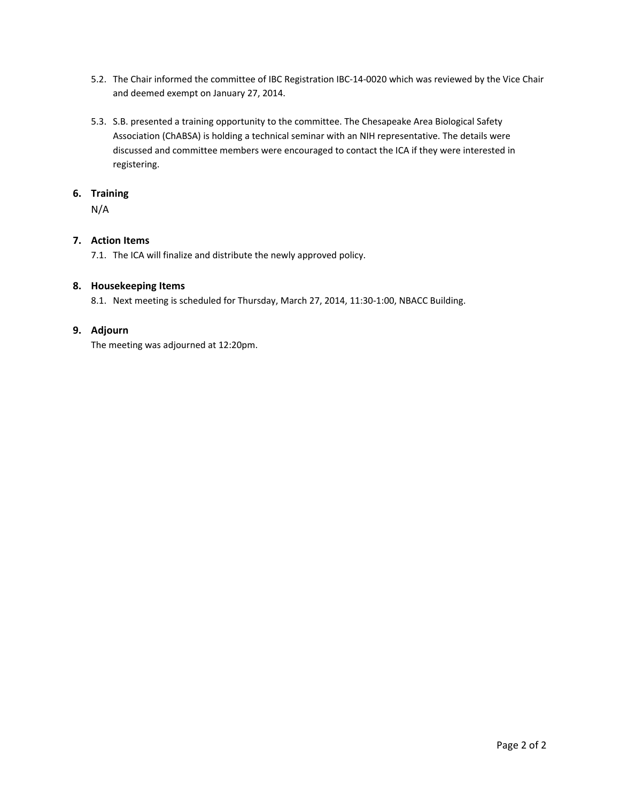- 5.2. The Chair informed the committee of IBC Registration IBC‐14‐0020 which was reviewed by the Vice Chair and deemed exempt on January 27, 2014.
- 5.3. S.B. presented a training opportunity to the committee. The Chesapeake Area Biological Safety Association (ChABSA) is holding a technical seminar with an NIH representative. The details were discussed and committee members were encouraged to contact the ICA if they were interested in registering.

#### **6. Training**

N/A

## **7. Action Items**

7.1. The ICA will finalize and distribute the newly approved policy.

#### **8. Housekeeping Items**

8.1. Next meeting is scheduled for Thursday, March 27, 2014, 11:30-1:00, NBACC Building.

### **9. Adjourn**

The meeting was adjourned at 12:20pm.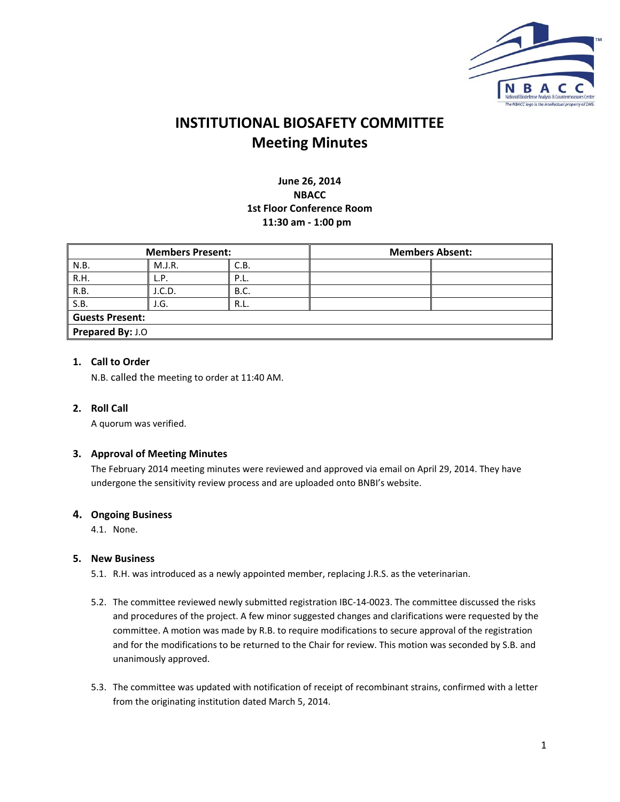

## **June 26, 2014 NBACC 1st Floor Conference Room 11:30 am ‐ 1:00 pm**

| <b>Members Present:</b> |        | <b>Members Absent:</b> |  |  |
|-------------------------|--------|------------------------|--|--|
| N.B.                    | M.J.R. | C.B.                   |  |  |
| R.H.                    | L.P.   | P.L.                   |  |  |
| R.B.                    | J.C.D. | <b>B.C.</b>            |  |  |
| S.B.                    | J.G.   | R.L.                   |  |  |
| <b>Guests Present:</b>  |        |                        |  |  |
| <b>Prepared By: J.O</b> |        |                        |  |  |

## **1. Call to Order**

N.B. called the meeting to order at 11:40 AM.

#### **2. Roll Call**

A quorum was verified.

#### **3. Approval of Meeting Minutes**

The February 2014 meeting minutes were reviewed and approved via email on April 29, 2014. They have undergone the sensitivity review process and are uploaded onto BNBI's website.

#### **4. Ongoing Business**

4.1. None.

#### **5. New Business**

- 5.1. R.H. was introduced as a newly appointed member, replacing J.R.S. as the veterinarian.
- 5.2. The committee reviewed newly submitted registration IBC‐14‐0023. The committee discussed the risks and procedures of the project. A few minor suggested changes and clarifications were requested by the committee. A motion was made by R.B. to require modifications to secure approval of the registration and for the modifications to be returned to the Chair for review. This motion was seconded by S.B. and unanimously approved.
- 5.3. The committee was updated with notification of receipt of recombinant strains, confirmed with a letter from the originating institution dated March 5, 2014.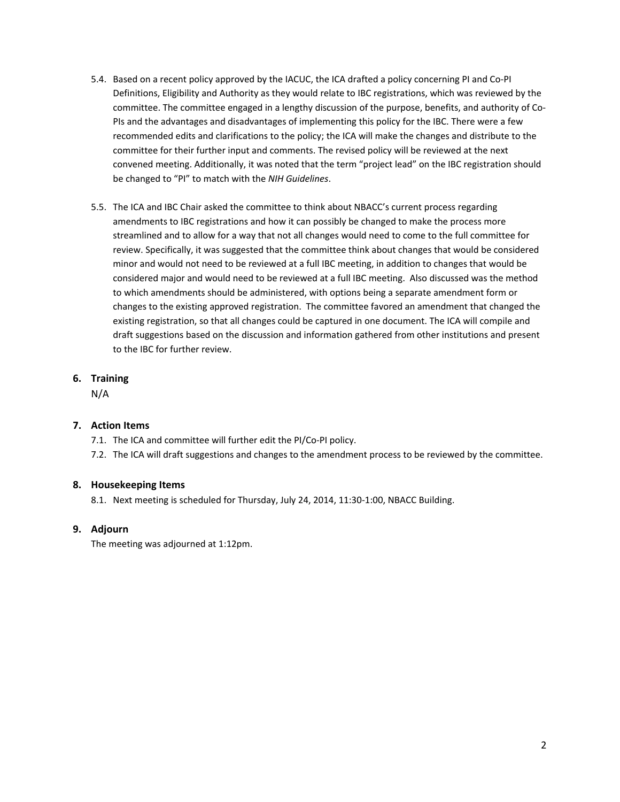- 5.4. Based on a recent policy approved by the IACUC, the ICA drafted a policy concerning PI and Co‐PI Definitions, Eligibility and Authority as they would relate to IBC registrations, which was reviewed by the committee. The committee engaged in a lengthy discussion of the purpose, benefits, and authority of Co‐ PIs and the advantages and disadvantages of implementing this policy for the IBC. There were a few recommended edits and clarifications to the policy; the ICA will make the changes and distribute to the committee for their further input and comments. The revised policy will be reviewed at the next convened meeting. Additionally, it was noted that the term "project lead" on the IBC registration should be changed to "PI" to match with the *NIH Guidelines*.
- 5.5. The ICA and IBC Chair asked the committee to think about NBACC's current process regarding amendments to IBC registrations and how it can possibly be changed to make the process more streamlined and to allow for a way that not all changes would need to come to the full committee for review. Specifically, it was suggested that the committee think about changes that would be considered minor and would not need to be reviewed at a full IBC meeting, in addition to changes that would be considered major and would need to be reviewed at a full IBC meeting. Also discussed was the method to which amendments should be administered, with options being a separate amendment form or changes to the existing approved registration. The committee favored an amendment that changed the existing registration, so that all changes could be captured in one document. The ICA will compile and draft suggestions based on the discussion and information gathered from other institutions and present to the IBC for further review.

## **6. Training**

N/A

## **7. Action Items**

7.1. The ICA and committee will further edit the PI/Co‐PI policy.

7.2. The ICA will draft suggestions and changes to the amendment process to be reviewed by the committee.

#### **8. Housekeeping Items**

8.1. Next meeting is scheduled for Thursday, July 24, 2014, 11:30-1:00, NBACC Building.

#### **9. Adjourn**

The meeting was adjourned at 1:12pm.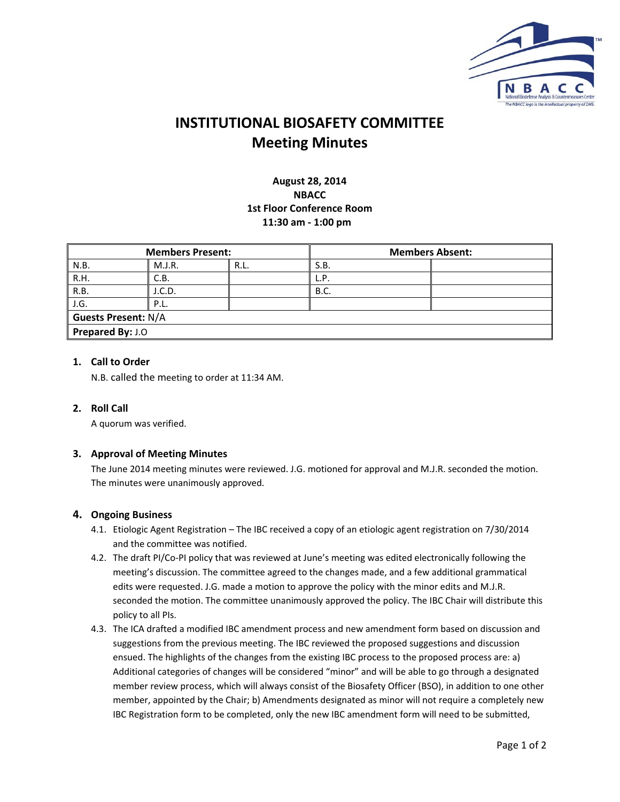

## **August 28, 2014 NBACC 1st Floor Conference Room 11:30 am ‐ 1:00 pm**

| <b>Members Present:</b>    |        |      | <b>Members Absent:</b> |  |
|----------------------------|--------|------|------------------------|--|
| N.B.                       | M.J.R. | R.L. | S.B.                   |  |
| R.H.                       | C.B.   |      | L.P.                   |  |
| R.B.                       | J.C.D. |      | <b>B.C.</b>            |  |
| J.G.                       | P.L.   |      |                        |  |
| <b>Guests Present: N/A</b> |        |      |                        |  |
| <b>Prepared By: J.O</b>    |        |      |                        |  |

#### **1. Call to Order**

N.B. called the meeting to order at 11:34 AM.

#### **2. Roll Call**

A quorum was verified.

#### **3. Approval of Meeting Minutes**

The June 2014 meeting minutes were reviewed. J.G. motioned for approval and M.J.R. seconded the motion. The minutes were unanimously approved.

#### **4. Ongoing Business**

- 4.1. Etiologic Agent Registration The IBC received a copy of an etiologic agent registration on 7/30/2014 and the committee was notified.
- 4.2. The draft PI/Co‐PI policy that was reviewed at June's meeting was edited electronically following the meeting's discussion. The committee agreed to the changes made, and a few additional grammatical edits were requested. J.G. made a motion to approve the policy with the minor edits and M.J.R. seconded the motion. The committee unanimously approved the policy. The IBC Chair will distribute this policy to all PIs.
- 4.3. The ICA drafted a modified IBC amendment process and new amendment form based on discussion and suggestions from the previous meeting. The IBC reviewed the proposed suggestions and discussion ensued. The highlights of the changes from the existing IBC process to the proposed process are: a) Additional categories of changes will be considered "minor" and will be able to go through a designated member review process, which will always consist of the Biosafety Officer (BSO), in addition to one other member, appointed by the Chair; b) Amendments designated as minor will not require a completely new IBC Registration form to be completed, only the new IBC amendment form will need to be submitted,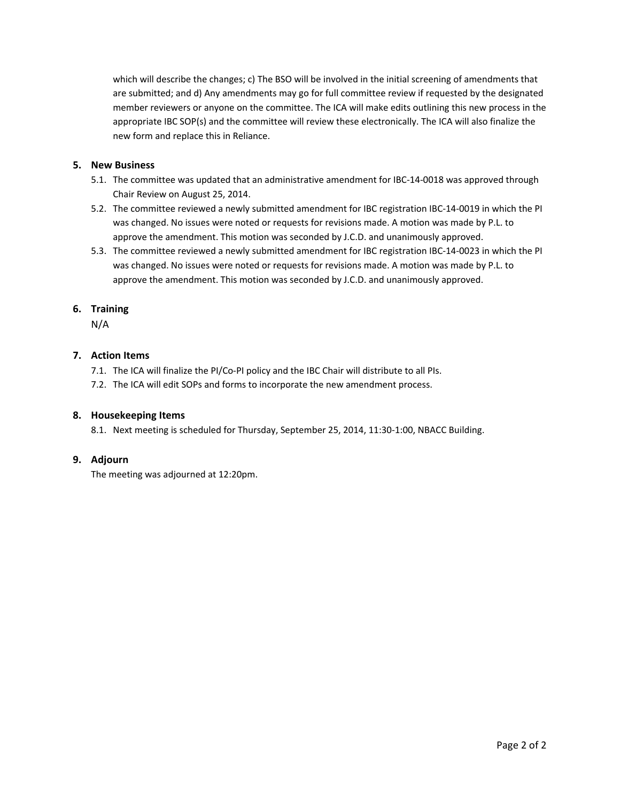which will describe the changes; c) The BSO will be involved in the initial screening of amendments that are submitted; and d) Any amendments may go for full committee review if requested by the designated member reviewers or anyone on the committee. The ICA will make edits outlining this new process in the appropriate IBC SOP(s) and the committee will review these electronically. The ICA will also finalize the new form and replace this in Reliance.

#### **5. New Business**

- 5.1. The committee was updated that an administrative amendment for IBC-14-0018 was approved through Chair Review on August 25, 2014.
- 5.2. The committee reviewed a newly submitted amendment for IBC registration IBC‐14‐0019 in which the PI was changed. No issues were noted or requests for revisions made. A motion was made by P.L. to approve the amendment. This motion was seconded by J.C.D. and unanimously approved.
- 5.3. The committee reviewed a newly submitted amendment for IBC registration IBC‐14‐0023 in which the PI was changed. No issues were noted or requests for revisions made. A motion was made by P.L. to approve the amendment. This motion was seconded by J.C.D. and unanimously approved.

#### **6. Training**

N/A

#### **7. Action Items**

- 7.1. The ICA will finalize the PI/Co-PI policy and the IBC Chair will distribute to all PIs.
- 7.2. The ICA will edit SOPs and forms to incorporate the new amendment process.

#### **8. Housekeeping Items**

8.1. Next meeting is scheduled for Thursday, September 25, 2014, 11:30-1:00, NBACC Building.

#### **9. Adjourn**

The meeting was adjourned at 12:20pm.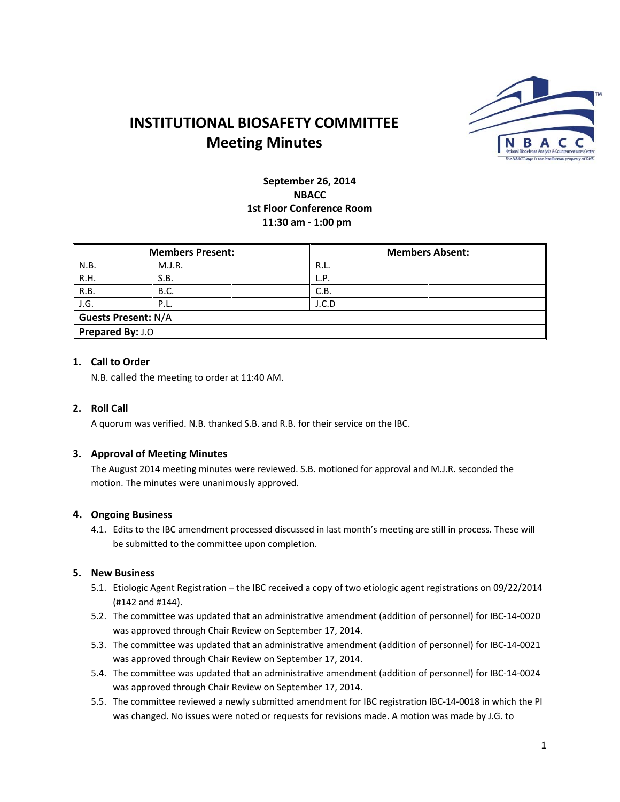

## **September 26, 2014 NBACC 1st Floor Conference Room 11:30 am ‐ 1:00 pm**

| <b>Members Present:</b>    |             | <b>Members Absent:</b> |       |  |
|----------------------------|-------------|------------------------|-------|--|
| N.B.                       | M.J.R.      |                        | R.L.  |  |
| R.H.                       | S.B.        |                        | L.P.  |  |
| R.B.                       | <b>B.C.</b> |                        | C.B.  |  |
| J.G.                       | P.L.        |                        | J.C.D |  |
| <b>Guests Present: N/A</b> |             |                        |       |  |
| Prepared By: J.O           |             |                        |       |  |

## **1. Call to Order**

N.B. called the meeting to order at 11:40 AM.

#### **2. Roll Call**

A quorum was verified. N.B. thanked S.B. and R.B. for their service on the IBC.

#### **3. Approval of Meeting Minutes**

The August 2014 meeting minutes were reviewed. S.B. motioned for approval and M.J.R. seconded the motion. The minutes were unanimously approved.

#### **4. Ongoing Business**

4.1. Edits to the IBC amendment processed discussed in last month's meeting are still in process. These will be submitted to the committee upon completion.

#### **5. New Business**

- 5.1. Etiologic Agent Registration the IBC received a copy of two etiologic agent registrations on 09/22/2014 (#142 and #144).
- 5.2. The committee was updated that an administrative amendment (addition of personnel) for IBC‐14‐0020 was approved through Chair Review on September 17, 2014.
- 5.3. The committee was updated that an administrative amendment (addition of personnel) for IBC‐14‐0021 was approved through Chair Review on September 17, 2014.
- 5.4. The committee was updated that an administrative amendment (addition of personnel) for IBC‐14‐0024 was approved through Chair Review on September 17, 2014.
- 5.5. The committee reviewed a newly submitted amendment for IBC registration IBC‐14‐0018 in which the PI was changed. No issues were noted or requests for revisions made. A motion was made by J.G. to